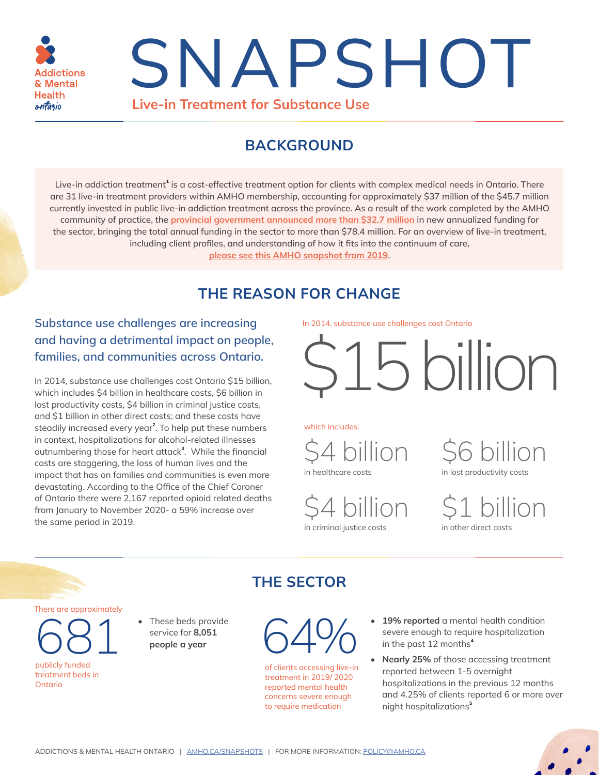

# **Live-in Treatment for Substance Use** SNAPSHOT

## **BACKGROUND**

Live-in addiction treatment<sup>[1](#page-2-0)</sup> is a cost-effective treatment option for clients with complex medical needs in Ontario. There are 31 live-in treatment providers within AMHO membership, accounting for approximately \$37 million of the \$45.7 million currently invested in public live-in addiction treatment across the province. As a result of the work completed by the AMHO community of practice, the **[provincial government announced more than \\$32.7 million](https://news.ontario.ca/en/release/1000477/ontario-expanding-support-for-addictions-treatment-throughout-the-province)** in new annualized funding for the sector, bringing the total annual funding in the sector to more than \$78.4 million. For an overview of live-in treatment, including client profiles, and understanding of how it fits into the continuum of care,

<span id="page-0-0"></span>**[please see this AMHO snapshot from 2019](https://amho.ca/wp-content/uploads/Residential-Treatment-snapshot_FINAL.pdf)**.

# **THE REASON FOR CHANGE**

## **Substance use challenges are increasing and having a detrimental impact on people, families, and communities across Ontario.**

<span id="page-0-1"></span>In 2014, substance use challenges cost Ontario \$15 billion, which includes \$4 billion in healthcare costs, \$6 billion in lost productivity costs, \$4 billion in criminal justice costs, and \$1 billion in other direct costs; and these costs have steadily increased every year**[2](#page-2-1)** . To help put these numbers in context, hospitalizations for alcohol-related illnesses outnumbering those for heart attack**[3](#page-2-2)** . While the financial costs are staggering, the loss of human lives and the impact that has on families and communities is even more devastating. According to the Office of the Chief Coroner of Ontario there were 2,167 reported opioid related deaths from January to November 2020- a 59% increase over of Ontario there were 2,167 reported opioid related deaths<br>from January to November 2020- a 59% increase over<br>the same period in 2019.<br>in criminal justice costs<br>in other direct costs

In 2014, substance use challenges cost Ontario

\$15 billion

which includes:

<span id="page-0-2"></span>

in criminal justice costs

 $54$  billion  $56$  billion in lost productivity costs

There are approximately

681 **Finane beds provided a year**<br>**people a year** publicly funded treatment beds in Ontario

• These beds provide

# **THE SECTOR**



of clients accessing live-in treatment in 2019/ 2020 reported mental health concerns severe enough to require medication

- **• 19% reported** a mental health condition severe enough to require hospitalization in the past 12 months**[4](#page-2-3)**
- <span id="page-0-4"></span><span id="page-0-3"></span>• **Nearly 25%** of those accessing treatment reported between 1-5 overnight hospitalizations in the previous 12 months and 4.25% of clients reported 6 or more over night hospitalizations**[5](#page-2-4)**

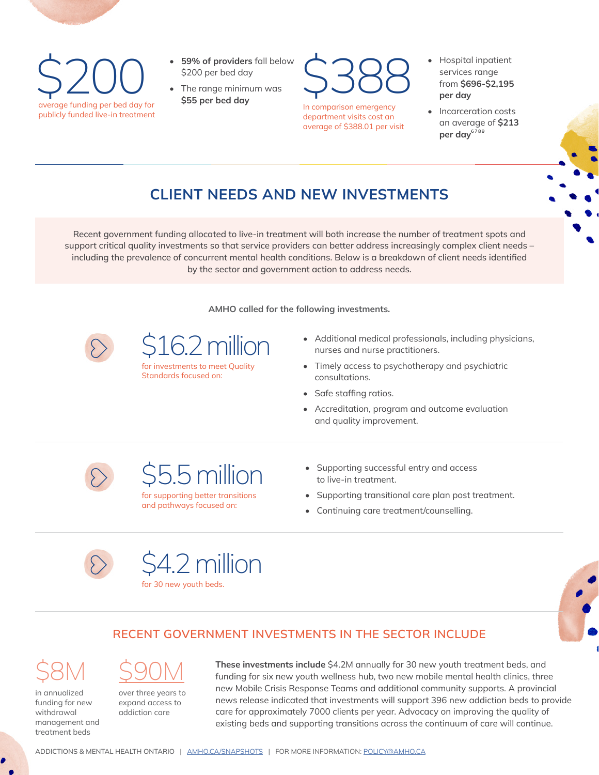• 59% of providers fall below the S200 per bed day<br>
The range minimum was<br>
stable the range minimum was<br>
stable day for the range minimum was<br>
stable day publicly funded live-in treatment

- **• 59% of providers** fall below \$200 per bed day
- 

\$388

In comparison emergency department visits cost an average of \$388.01 per visit

- Hospital inpatient services range from **\$696-\$2,195 per day**
- <span id="page-1-3"></span><span id="page-1-2"></span><span id="page-1-1"></span><span id="page-1-0"></span>• Incarceration costs an average of **\$213**  per day<sup>[6](#page-2-5)[7](#page-2-6)[8](#page-2-7)[9](#page-2-8)</sup>

# **CLIENT NEEDS AND NEW INVESTMENTS**

Recent government funding allocated to live-in treatment will both increase the number of treatment spots and support critical quality investments so that service providers can better address increasingly complex client needs – including the prevalence of concurrent mental health conditions. Below is a breakdown of client needs identified by the sector and government action to address needs.

**AMHO called for the following investments.**



16.2 million

for investments to meet Quality Standards focused on:

- Additional medical professionals, including physicians, nurses and nurse practitioners.
- Timely access to psychotherapy and psychiatric consultations.
- Safe staffing ratios.
- Accreditation, program and outcome evaluation and quality improvement.



\$5.5 million

for supporting better transitions and pathways focused on:

- Supporting successful entry and access to live-in treatment.
- Supporting transitional care plan post treatment.
- Continuing care treatment/counselling.



\$4.2 million

for 30 new youth beds.



## **RECENT GOVERNMENT INVESTMENTS IN THE SECTOR INCLUDE**

\$8M <u>\$90M</u>

in annualized funding for new withdrawal management and treatment beds

over three years to expand access to

addiction care

**These investments include** \$4.2M annually for 30 new youth treatment beds, and funding for six new youth wellness hub, two new mobile mental health clinics, three new Mobile Crisis Response Teams and additional community supports. A provincial news release indicated that investments will support 396 new addiction beds to provide care for approximately 7000 clients per year. Advocacy on improving the quality of existing beds and supporting transitions across the continuum of care will continue.